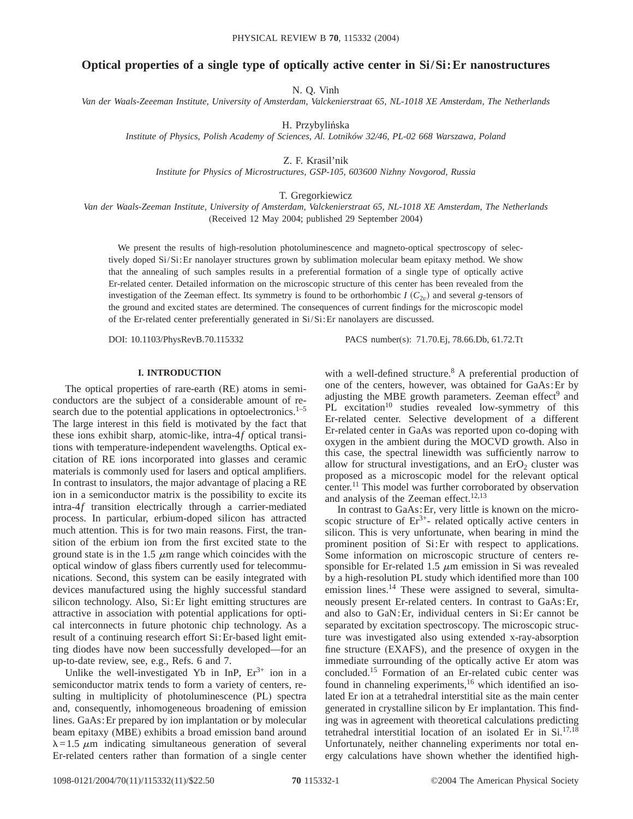## **Optical properties of a single type of optically active center in Si/Si:Er nanostructures**

N. Q. Vinh

*Van der Waals-Zeeeman Institute, University of Amsterdam, Valckenierstraat 65, NL-1018 XE Amsterdam, The Netherlands*

H. Przybylińska

*Institute of Physics, Polish Academy of Sciences, Al. Lotników 32/46, PL-02 668 Warszawa, Poland*

Z. F. Krasil'nik

*Institute for Physics of Microstructures, GSP-105, 603600 Nizhny Novgorod, Russia*

T. Gregorkiewicz

*Van der Waals-Zeeman Institute, University of Amsterdam, Valckenierstraat 65, NL-1018 XE Amsterdam, The Netherlands* (Received 12 May 2004; published 29 September 2004)

We present the results of high-resolution photoluminescence and magneto-optical spectroscopy of selectively doped Si/Si:Er nanolayer structures grown by sublimation molecular beam epitaxy method. We show that the annealing of such samples results in a preferential formation of a single type of optically active Er-related center. Detailed information on the microscopic structure of this center has been revealed from the investigation of the Zeeman effect. Its symmetry is found to be orthorhombic  $I(C_{2v})$  and several *g*-tensors of the ground and excited states are determined. The consequences of current findings for the microscopic model of the Er-related center preferentially generated in Si/Si:Er nanolayers are discussed.

DOI: 10.1103/PhysRevB.70.115332 PACS number(s): 71.70.Ej, 78.66.Db, 61.72.Tt

### **I. INTRODUCTION**

The optical properties of rare-earth (RE) atoms in semiconductors are the subject of a considerable amount of research due to the potential applications in optoelectronics. $1-5$ The large interest in this field is motivated by the fact that these ions exhibit sharp, atomic-like, intra-4*f* optical transitions with temperature-independent wavelengths. Optical excitation of RE ions incorporated into glasses and ceramic materials is commonly used for lasers and optical amplifiers. In contrast to insulators, the major advantage of placing a RE ion in a semiconductor matrix is the possibility to excite its intra-4*f* transition electrically through a carrier-mediated process. In particular, erbium-doped silicon has attracted much attention. This is for two main reasons. First, the transition of the erbium ion from the first excited state to the ground state is in the 1.5  $\mu$ m range which coincides with the optical window of glass fibers currently used for telecommunications. Second, this system can be easily integrated with devices manufactured using the highly successful standard silicon technology. Also, Si:Er light emitting structures are attractive in association with potential applications for optical interconnects in future photonic chip technology. As a result of a continuing research effort Si:Er-based light emitting diodes have now been successfully developed—for an up-to-date review, see, e.g., Refs. 6 and 7.

Unlike the well-investigated Yb in InP,  $Er<sup>3+</sup>$  ion in a semiconductor matrix tends to form a variety of centers, resulting in multiplicity of photoluminescence (PL) spectra and, consequently, inhomogeneous broadening of emission lines. GaAs:Er prepared by ion implantation or by molecular beam epitaxy (MBE) exhibits a broad emission band around  $\lambda = 1.5 \mu m$  indicating simultaneous generation of several Er-related centers rather than formation of a single center with a well-defined structure.<sup>8</sup> A preferential production of one of the centers, however, was obtained for GaAs:Er by adjusting the MBE growth parameters. Zeeman effect<sup>9</sup> and PL excitation<sup>10</sup> studies revealed low-symmetry of this Er-related center. Selective development of a different Er-related center in GaAs was reported upon co-doping with oxygen in the ambient during the MOCVD growth. Also in this case, the spectral linewidth was sufficiently narrow to allow for structural investigations, and an  $E<sub>1</sub>O<sub>2</sub>$  cluster was proposed as a microscopic model for the relevant optical center.11 This model was further corroborated by observation and analysis of the Zeeman effect.<sup>12,13</sup>

In contrast to GaAs:Er, very little is known on the microscopic structure of  $Er^{3+}$ - related optically active centers in silicon. This is very unfortunate, when bearing in mind the prominent position of Si:Er with respect to applications. Some information on microscopic structure of centers responsible for Er-related 1.5  $\mu$ m emission in Si was revealed by a high-resolution PL study which identified more than 100 emission lines.<sup>14</sup> These were assigned to several, simultaneously present Er-related centers. In contrast to GaAs:Er, and also to GaN:Er, individual centers in Si:Er cannot be separated by excitation spectroscopy. The microscopic structure was investigated also using extended x-ray-absorption fine structure (EXAFS), and the presence of oxygen in the immediate surrounding of the optically active Er atom was concluded.15 Formation of an Er-related cubic center was found in channeling experiments,<sup>16</sup> which identified an isolated Er ion at a tetrahedral interstitial site as the main center generated in crystalline silicon by Er implantation. This finding was in agreement with theoretical calculations predicting tetrahedral interstitial location of an isolated Er in  $Si^{17,18}$ . Unfortunately, neither channeling experiments nor total energy calculations have shown whether the identified high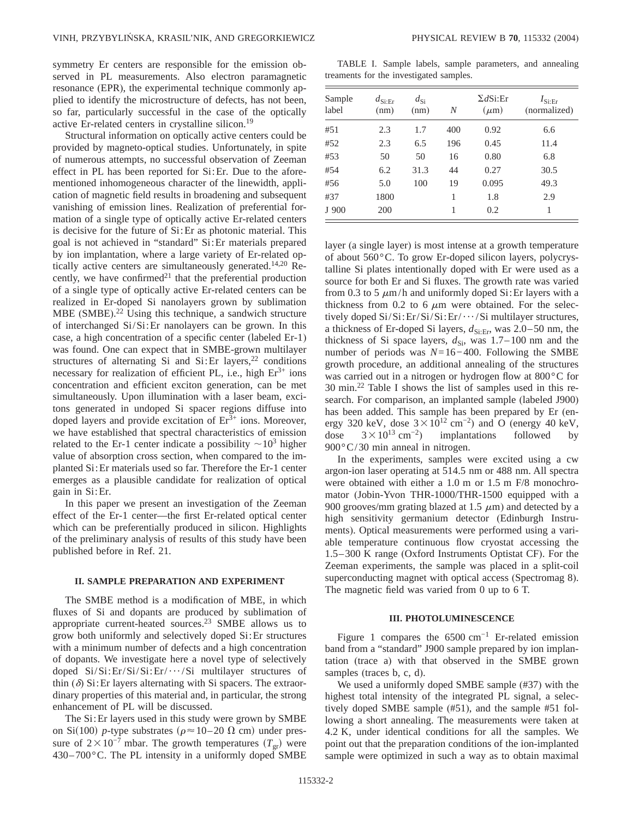symmetry Er centers are responsible for the emission observed in PL measurements. Also electron paramagnetic resonance (EPR), the experimental technique commonly applied to identify the microstructure of defects, has not been, so far, particularly successful in the case of the optically active Er-related centers in crystalline silicon.19

Structural information on optically active centers could be provided by magneto-optical studies. Unfortunately, in spite of numerous attempts, no successful observation of Zeeman effect in PL has been reported for Si:Er. Due to the aforementioned inhomogeneous character of the linewidth, application of magnetic field results in broadening and subsequent vanishing of emission lines. Realization of preferential formation of a single type of optically active Er-related centers is decisive for the future of Si:Er as photonic material. This goal is not achieved in "standard" Si:Er materials prepared by ion implantation, where a large variety of Er-related optically active centers are simultaneously generated.<sup>14,20</sup> Recently, we have confirmed $21$  that the preferential production of a single type of optically active Er-related centers can be realized in Er-doped Si nanolayers grown by sublimation MBE (SMBE).<sup>22</sup> Using this technique, a sandwich structure of interchanged Si/Si:Er nanolayers can be grown. In this case, a high concentration of a specific center (labeled Er-1) was found. One can expect that in SMBE-grown multilayer structures of alternating Si and Si: Er layers,<sup>22</sup> conditions necessary for realization of efficient PL, i.e., high  $Er<sup>3+</sup>$  ions concentration and efficient exciton generation, can be met simultaneously. Upon illumination with a laser beam, excitons generated in undoped Si spacer regions diffuse into doped layers and provide excitation of  $Er<sup>3+</sup>$  ions. Moreover, we have established that spectral characteristics of emission related to the Er-1 center indicate a possibility  $\sim 10^3$  higher value of absorption cross section, when compared to the implanted Si:Er materials used so far. Therefore the Er-1 center emerges as a plausible candidate for realization of optical gain in Si:Er.

In this paper we present an investigation of the Zeeman effect of the Er-1 center—the first Er-related optical center which can be preferentially produced in silicon. Highlights of the preliminary analysis of results of this study have been published before in Ref. 21.

### **II. SAMPLE PREPARATION AND EXPERIMENT**

The SMBE method is a modification of MBE, in which fluxes of Si and dopants are produced by sublimation of appropriate current-heated sources.23 SMBE allows us to grow both uniformly and selectively doped Si:Er structures with a minimum number of defects and a high concentration of dopants. We investigate here a novel type of selectively doped  $Si/Si: Er/Si/Si:Er/··/Si$  multilayer structures of thin  $(\delta)$  Si: Er layers alternating with Si spacers. The extraordinary properties of this material and, in particular, the strong enhancement of PL will be discussed.

The Si:Er layers used in this study were grown by SMBE on Si(100) *p*-type substrates ( $\rho \approx 10-20 \Omega$  cm) under pressure of  $2\times10^{-7}$  mbar. The growth temperatures  $(T_{gr})$  were  $430-700$  °C. The PL intensity in a uniformly doped SMBE

TABLE I. Sample labels, sample parameters, and annealing treaments for the investigated samples.

| Sample<br>label | $d_{\text{Si:Er}}$<br>(nm) | $d_{\rm Si}$<br>(nm) | N   | $\Sigma dSi: Er$<br>$(\mu m)$ | $I_{\text{Si:Er}}$<br>(normalized) |
|-----------------|----------------------------|----------------------|-----|-------------------------------|------------------------------------|
| #51             | 2.3                        | 1.7                  | 400 | 0.92                          | 6.6                                |
| #52             | 2.3                        | 6.5                  | 196 | 0.45                          | 11.4                               |
| #53             | 50                         | 50                   | 16  | 0.80                          | 6.8                                |
| #54             | 6.2                        | 31.3                 | 44  | 0.27                          | 30.5                               |
| #56             | 5.0                        | 100                  | 19  | 0.095                         | 49.3                               |
| #37             | 1800                       |                      | 1   | 1.8                           | 2.9                                |
| J 900           | 200                        |                      |     | 0.2                           | 1                                  |

layer (a single layer) is most intense at a growth temperature of about 560°C. To grow Er-doped silicon layers, polycrystalline Si plates intentionally doped with Er were used as a source for both Er and Si fluxes. The growth rate was varied from 0.3 to 5  $\mu$ m/h and uniformly doped Si: Er layers with a thickness from 0.2 to 6  $\mu$ m were obtained. For the selectively doped  $Si/Si: Er/Si/Si:Er/ \cdots /Si$  multilayer structures, a thickness of Er-doped Si layers,  $d_{\text{Si:Er}}$ , was 2.0–50 nm, the thickness of Si space layers,  $d_{\text{Si}}$ , was 1.7–100 nm and the number of periods was *N*=16−400. Following the SMBE growth procedure, an additional annealing of the structures was carried out in a nitrogen or hydrogen flow at 800°C for 30 min.22 Table I shows the list of samples used in this research. For comparison, an implanted sample (labeled J900) has been added. This sample has been prepared by Er (energy 320 keV, dose  $3 \times 10^{12}$  cm<sup>-2</sup>) and O (energy 40 keV, dose  $3 \times 10^{13}$  cm<sup>-2</sup>) implantations followed by 900°C/30 min anneal in nitrogen.

In the experiments, samples were excited using a cw argon-ion laser operating at 514.5 nm or 488 nm. All spectra were obtained with either a 1.0 m or 1.5 m F/8 monochromator (Jobin-Yvon THR-1000/THR-1500 equipped with a 900 grooves/mm grating blazed at 1.5  $\mu$ m) and detected by a high sensitivity germanium detector (Edinburgh Instruments). Optical measurements were performed using a variable temperature continuous flow cryostat accessing the 1.5–300 K range (Oxford Instruments Optistat CF). For the Zeeman experiments, the sample was placed in a split-coil superconducting magnet with optical access (Spectromag 8). The magnetic field was varied from 0 up to 6 T.

### **III. PHOTOLUMINESCENCE**

Figure 1 compares the  $6500 \text{ cm}^{-1}$  Er-related emission band from a "standard" J900 sample prepared by ion implantation (trace a) with that observed in the SMBE grown samples (traces b, c, d).

We used a uniformly doped SMBE sample (#37) with the highest total intensity of the integrated PL signal, a selectively doped SMBE sample (#51), and the sample #51 following a short annealing. The measurements were taken at 4.2 K, under identical conditions for all the samples. We point out that the preparation conditions of the ion-implanted sample were optimized in such a way as to obtain maximal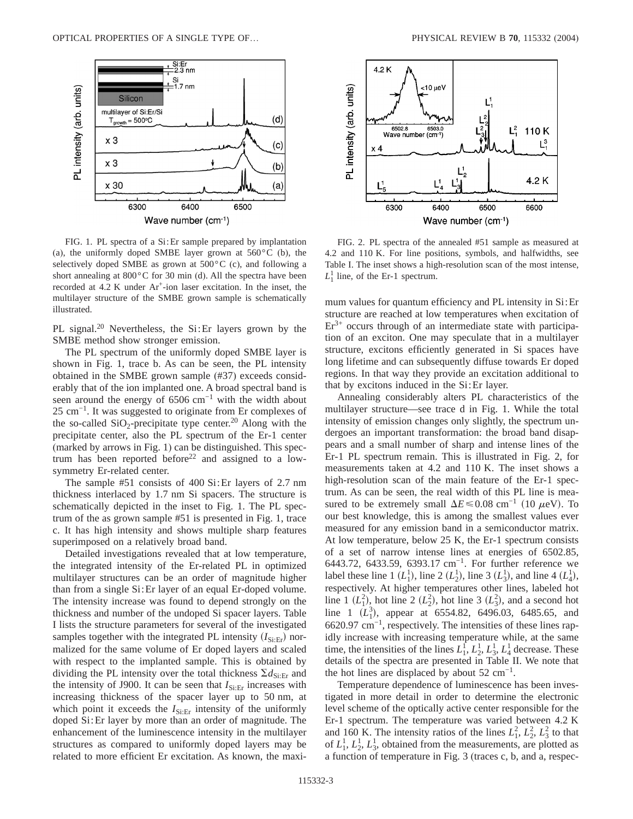

FIG. 1. PL spectra of a Si:Er sample prepared by implantation (a), the uniformly doped SMBE layer grown at  $560^{\circ}$ C (b), the selectively doped SMBE as grown at  $500^{\circ}$ C (c), and following a short annealing at 800°C for 30 min (d). All the spectra have been recorded at  $4.2$  K under  $Ar^+$ -ion laser excitation. In the inset, the multilayer structure of the SMBE grown sample is schematically illustrated.

PL signal.<sup>20</sup> Nevertheless, the Si: Er layers grown by the SMBE method show stronger emission.

The PL spectrum of the uniformly doped SMBE layer is shown in Fig. 1, trace b. As can be seen, the PL intensity obtained in the SMBE grown sample (#37) exceeds considerably that of the ion implanted one. A broad spectral band is seen around the energy of 6506 cm<sup>-1</sup> with the width about 25 cm<sup>-1</sup>. It was suggested to originate from Er complexes of the so-called  $SiO_2$ -precipitate type center.<sup>20</sup> Along with the precipitate center, also the PL spectrum of the Er-1 center (marked by arrows in Fig. 1) can be distinguished. This spectrum has been reported before $22$  and assigned to a lowsymmetry Er-related center.

The sample #51 consists of 400 Si:Er layers of 2.7 nm thickness interlaced by 1.7 nm Si spacers. The structure is schematically depicted in the inset to Fig. 1. The PL spectrum of the as grown sample #51 is presented in Fig. 1, trace c. It has high intensity and shows multiple sharp features superimposed on a relatively broad band.

Detailed investigations revealed that at low temperature, the integrated intensity of the Er-related PL in optimized multilayer structures can be an order of magnitude higher than from a single Si:Er layer of an equal Er-doped volume. The intensity increase was found to depend strongly on the thickness and number of the undoped Si spacer layers. Table I lists the structure parameters for several of the investigated samples together with the integrated PL intensity  $(I_{\text{Si-Er}})$  normalized for the same volume of Er doped layers and scaled with respect to the implanted sample. This is obtained by dividing the PL intensity over the total thickness  $\Sigma d_{\text{Si-Er}}$  and the intensity of J900. It can be seen that  $I_{\text{Si:Er}}$  increases with increasing thickness of the spacer layer up to 50 nm, at which point it exceeds the  $I_{\text{Si-Er}}$  intensity of the uniformly doped Si:Er layer by more than an order of magnitude. The enhancement of the luminescence intensity in the multilayer structures as compared to uniformly doped layers may be related to more efficient Er excitation. As known, the maxi-



FIG. 2. PL spectra of the annealed #51 sample as measured at 4.2 and 110 K. For line positions, symbols, and halfwidths, see Table I. The inset shows a high-resolution scan of the most intense,  $L_1^1$  line, of the Er-1 spectrum.

mum values for quantum efficiency and PL intensity in Si:Er structure are reached at low temperatures when excitation of  $Er<sup>3+</sup>$  occurs through of an intermediate state with participation of an exciton. One may speculate that in a multilayer structure, excitons efficiently generated in Si spaces have long lifetime and can subsequently diffuse towards Er doped regions. In that way they provide an excitation additional to that by excitons induced in the Si:Er layer.

Annealing considerably alters PL characteristics of the multilayer structure—see trace d in Fig. 1. While the total intensity of emission changes only slightly, the spectrum undergoes an important transformation: the broad band disappears and a small number of sharp and intense lines of the Er-1 PL spectrum remain. This is illustrated in Fig. 2, for measurements taken at 4.2 and 110 K. The inset shows a high-resolution scan of the main feature of the Er-1 spectrum. As can be seen, the real width of this PL line is measured to be extremely small  $\Delta E \le 0.08$  cm<sup>-1</sup> (10  $\mu$ eV). To our best knowledge, this is among the smallest values ever measured for any emission band in a semiconductor matrix. At low temperature, below 25 K, the Er-1 spectrum consists of a set of narrow intense lines at energies of 6502.85, 6443.72, 6433.59, 6393.17 cm−1. For further reference we label these line 1  $(L_1^1)$ , line 2  $(L_2^1)$ , line 3  $(L_3^1)$ , and line 4  $(L_4^1)$ , respectively. At higher temperatures other lines, labeled hot line 1  $(L_1^2)$ , hot line 2  $(L_2^2)$ , hot line 3  $(L_3^2)$ , and a second hot line 1  $(L_1^3)$ , appear at 6554.82, 6496.03, 6485.65, and 6620.97 cm−1, respectively. The intensities of these lines rapidly increase with increasing temperature while, at the same time, the intensities of the lines  $L_1^f, L_2^1, L_3^1, L_4^1$  decrease. These details of the spectra are presented in Table II. We note that the hot lines are displaced by about  $52 \text{ cm}^{-1}$ .

Temperature dependence of luminescence has been investigated in more detail in order to determine the electronic level scheme of the optically active center responsible for the Er-1 spectrum. The temperature was varied between 4.2 K and 160 K. The intensity ratios of the lines  $L_1^2$ ,  $L_2^2$ ,  $L_3^2$  to that of  $L_1^1$ ,  $L_2^1$ ,  $L_3^1$ , obtained from the measurements, are plotted as a function of temperature in Fig. 3 (traces c, b, and a, respec-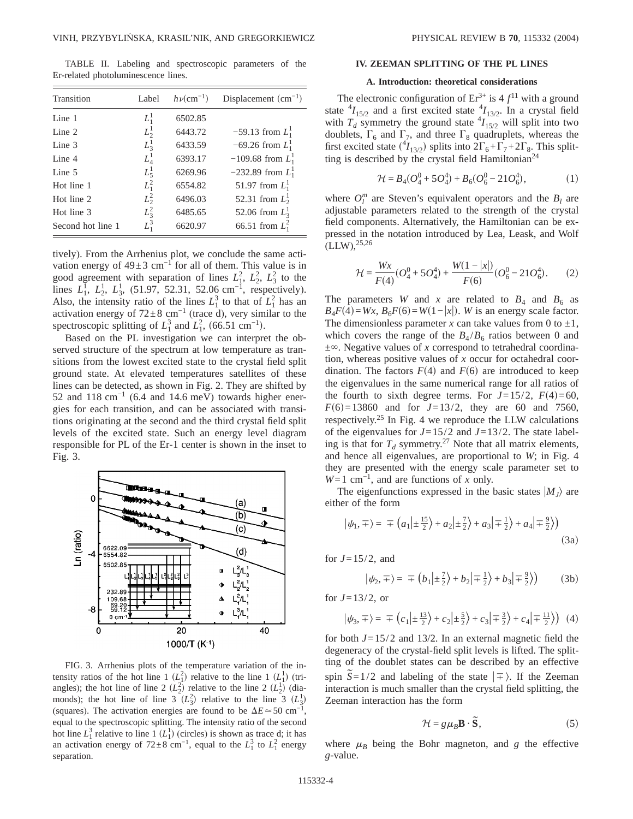TABLE II. Labeling and spectroscopic parameters of the Er-related photoluminescence lines.

| Transition        | Label   | $h\nu$ (cm <sup>-1</sup> ) | Displacement $(cm-1)$  |
|-------------------|---------|----------------------------|------------------------|
| Line 1            | $L_1^1$ | 6502.85                    |                        |
| Line $2$          | $L^1$   | 6443.72                    | $-59.13$ from $L_1^1$  |
| Line 3            | $L^1_3$ | 6433.59                    | $-69.26$ from $L_1^1$  |
| Line 4            | $L_4^1$ | 6393.17                    | $-109.68$ from $L_1^1$ |
| Line 5            | $L^1_5$ | 6269.96                    | $-232.89$ from $L_1^1$ |
| Hot line 1        | $L_1^2$ | 6554.82                    | 51.97 from $L_1^1$     |
| Hot line 2        | $L_2^2$ | 6496.03                    | 52.31 from $L_2^1$     |
| Hot line 3        | $L_3^2$ | 6485.65                    | 52.06 from $L_3^1$     |
| Second hot line 1 | $L_1^3$ | 6620.97                    | 66.51 from $L_1^2$     |

tively). From the Arrhenius plot, we conclude the same activation energy of  $49±3$  cm<sup>-1</sup> for all of them. This value is in good agreement with separation of lines  $L_1^2$ ,  $L_2^2$ ,  $L_3^2$  to the lines  $L_1^1$ ,  $L_2^1$ ,  $L_3^1$ , (51.97, 52.31, 52.06 cm<sup>-1</sup>, respectively). Also, the intensity ratio of the lines  $L_1^3$  to that of  $L_1^2$  has an activation energy of  $72\pm8$  cm<sup>-1</sup> (trace d), very similar to the spectroscopic splitting of  $L_1^3$  and  $L_1^2$ , (66.51 cm<sup>-1</sup>).

Based on the PL investigation we can interpret the observed structure of the spectrum at low temperature as transitions from the lowest excited state to the crystal field split ground state. At elevated temperatures satellites of these lines can be detected, as shown in Fig. 2. They are shifted by 52 and 118 cm<sup>-1</sup> (6.4 and 14.6 meV) towards higher energies for each transition, and can be associated with transitions originating at the second and the third crystal field split levels of the excited state. Such an energy level diagram responsible for PL of the Er-1 center is shown in the inset to Fig. 3.



FIG. 3. Arrhenius plots of the temperature variation of the intensity ratios of the hot line 1  $(L_1^2)$  relative to the line 1  $(L_1^1)$  (triangles); the hot line of line 2  $(L_2^2)$  relative to the line 2  $(L_2^1)$  (diamonds); the hot line of line  $3(L_3^2)$  relative to the line  $3(L_3^1)$ (squares). The activation energies are found to be  $\Delta E \approx 50 \text{ cm}^{-1}$ , equal to the spectroscopic splitting. The intensity ratio of the second hot line  $L_1^3$  relative to line 1  $(L_1^1)$  (circles) is shown as trace d; it has an activation energy of  $72\pm8$  cm<sup>-1</sup>, equal to the  $L_1^3$  to  $L_1^2$  energy separation.

### **IV. ZEEMAN SPLITTING OF THE PL LINES**

### **A. Introduction: theoretical considerations**

The electronic configuration of  $Er^{3+}$  is  $4 f^{11}$  with a ground state  $^{4}I_{15/2}$  and a first excited state  $^{4}I_{13/2}$ . In a crystal field with  $T_d$  symmetry the ground state  ${}^4I_{15/2}$  will split into two doublets,  $\Gamma_6$  and  $\Gamma_7$ , and three  $\Gamma_8$  quadruplets, whereas the first excited state  $({}^{4}I_{13/2})$  splits into  $2\Gamma_6 + \Gamma_7 + 2\Gamma_8$ . This splitting is described by the crystal field Hamiltonian<sup>24</sup>

$$
\mathcal{H} = B_4(O_4^0 + 5O_4^4) + B_6(O_6^0 - 21O_6^4),\tag{1}
$$

where  $O_l^m$  are Steven's equivalent operators and the  $B_l$  are adjustable parameters related to the strength of the crystal field components. Alternatively, the Hamiltonian can be expressed in the notation introduced by Lea, Leask, and Wolf  $(LLW),<sup>25,26</sup>$ 

$$
\mathcal{H} = \frac{Wx}{F(4)} (O_4^0 + 5O_4^4) + \frac{W(1 - |x|)}{F(6)} (O_6^0 - 21O_6^4). \tag{2}
$$

The parameters *W* and *x* are related to  $B_4$  and  $B_6$  as  $B_4F(4) = Wx$ ,  $B_6F(6) = W(1-|x|)$ . *W* is an energy scale factor. The dimensionless parameter *x* can take values from 0 to  $\pm 1$ , which covers the range of the  $B_4/B_6$  ratios between 0 and  $\pm\infty$ . Negative values of *x* correspond to tetrahedral coordination, whereas positive values of *x* occur for octahedral coordination. The factors  $F(4)$  and  $F(6)$  are introduced to keep the eigenvalues in the same numerical range for all ratios of the fourth to sixth degree terms. For  $J=15/2$ ,  $F(4)=60$ ,  $F(6)=13860$  and for  $J=13/2$ , they are 60 and 7560, respectively.25 In Fig. 4 we reproduce the LLW calculations of the eigenvalues for  $J=15/2$  and  $J=13/2$ . The state labeling is that for  $T_d$  symmetry.<sup>27</sup> Note that all matrix elements, and hence all eigenvalues, are proportional to *W*; in Fig. 4 they are presented with the energy scale parameter set to *W*=1 cm<sup>−1</sup>, and are functions of *x* only.

The eigenfunctions expressed in the basic states  $|M_J\rangle$  are either of the form

$$
|\psi_1, \pm\rangle = \pm \left( a_1 | \pm \frac{15}{2} \right) + a_2 | \pm \frac{7}{2} \rangle + a_3 | \pm \frac{1}{2} \rangle + a_4 | \pm \frac{9}{2} \rangle \tag{3a}
$$

for  $J=15/2$ , and

$$
|\psi_2, \pm\rangle = \pm (b_1|\pm \frac{7}{2}\rangle + b_2|\pm \frac{1}{2}\rangle + b_3|\pm \frac{9}{2}\rangle)
$$
 (3b)

for  $J=13/2$ , or

$$
|\psi_3, \pm \rangle = \pm \left( c_1 | \pm \frac{13}{2} \rangle + c_2 | \pm \frac{5}{2} \rangle + c_3 | \pm \frac{3}{2} \rangle + c_4 | \pm \frac{11}{2} \rangle \right) (4)
$$

for both *J*=15/2 and 13/2. In an external magnetic field the degeneracy of the crystal-field split levels is lifted. The splitting of the doublet states can be described by an effective spin  $\tilde{S} = 1/2$  and labeling of the state  $|\tilde{\pm}\rangle$ . If the Zeeman interaction is much smaller than the crystal field splitting, the Zeeman interaction has the form

$$
\mathcal{H} = g\mu_B \mathbf{B} \cdot \widetilde{\mathbf{S}},\tag{5}
$$

where  $\mu_B$  being the Bohr magneton, and *g* the effective *g*-value.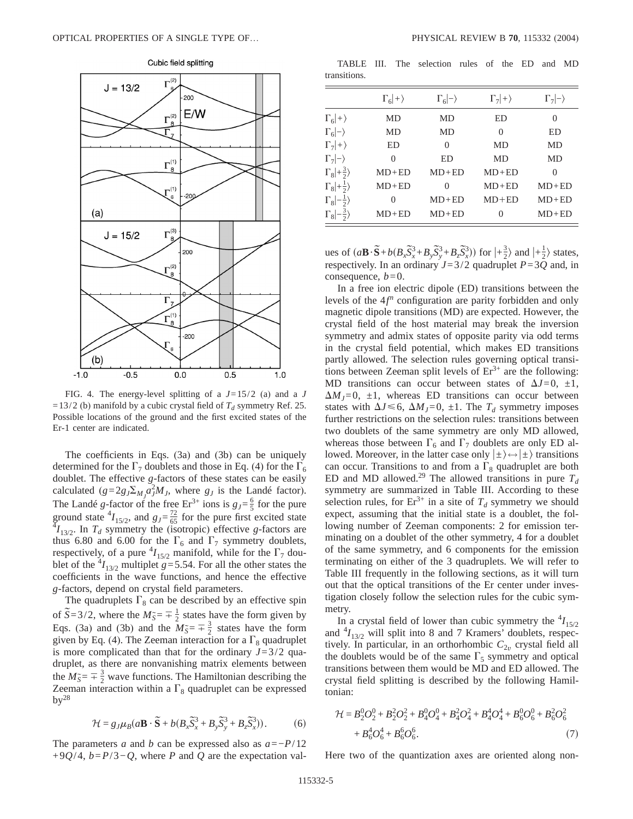

FIG. 4. The energy-level splitting of a *J*=15/2 (a) and a *J*  $=13/2$  (b) manifold by a cubic crystal field of  $T<sub>d</sub>$  symmetry Ref. 25. Possible locations of the ground and the first excited states of the Er-1 center are indicated.

The coefficients in Eqs. (3a) and (3b) can be uniquely determined for the  $\Gamma_7$  doublets and those in Eq. (4) for the  $\Gamma_6$ doublet. The effective *g*-factors of these states can be easily calculated  $(g=2g J \Sigma_M a_J^2 M_J)$ , where  $g_J$  is the Landé factor). The Landé *g*-factor of the free  $Er^{3+}$  ions is  $g_J = \frac{6}{5}$  for the pure ground state  ${}^4I_{15/2}$ , and  $g_J = \frac{72}{65}$  for the pure first excited state  ${}^4I_{13/2}$ . In  $T_d$  symmetry the (isotropic) effective *g*-factors are thus 6.80 and 6.00 for the  $\Gamma_6$  and  $\Gamma_7$  symmetry doublets, respectively, of a pure  $^{4}I_{15/2}$  manifold, while for the  $\Gamma_7$  doublet of the  $^{4}I_{13/2}$  multiplet *g*=5.54. For all the other states the coefficients in the wave functions, and hence the effective *g*-factors, depend on crystal field parameters.

The quadruplets  $\Gamma_8$  can be described by an effective spin of  $\tilde{S} = 3/2$ , where the  $M\tilde{S} = \frac{1}{2}$  states have the form given by Eqs. (3a) and (3b) and the  $M_{\tilde{S}} = \pm \frac{3}{2}$  states have the form given by Eq. (4). The Zeeman interaction for a  $\Gamma_8$  quadruplet is more complicated than that for the ordinary  $J=3/2$  quadruplet, as there are nonvanishing matrix elements between the  $M_{\tilde{S}} = \pm \frac{3}{2}$  wave functions. The Hamiltonian describing the Zeeman interaction within a  $\Gamma_8$  quadruplet can be expressed  $by<sup>28</sup>$ 

$$
\mathcal{H} = g_J \mu_B (a\mathbf{B} \cdot \widetilde{\mathbf{S}} + b(B_x \widetilde{S}_x^3 + B_y \widetilde{S}_y^3 + B_z \widetilde{S}_x^3)).
$$
 (6)

The parameters *a* and *b* can be expressed also as *a*=−*P*/12 +9*Q*/4, *b*=*P*/3−*Q*, where *P* and *Q* are the expectation val-

TABLE III. The selection rules of the ED and MD transitions.

|                               | $\Gamma_6 +\rangle$ | $\Gamma_6$ - $\rangle$ | $\Gamma_7 +\rangle$ | $\Gamma_7$ $\rightarrow$ |
|-------------------------------|---------------------|------------------------|---------------------|--------------------------|
| $\Gamma_6 +\rangle$           | MD                  | MD                     | ED                  | $\theta$                 |
| $\Gamma_6 -\rangle$           | MD                  | <b>MD</b>              | $\Omega$            | ED                       |
| $\Gamma_7 +\rangle$           | ED                  | $\theta$               | MD                  | MD                       |
| $\Gamma_7  -\rangle$          | $\Omega$            | ED                     | MD                  | MD                       |
| $\Gamma_8$ + $\frac{3}{2}$    | $MD+ED$             | $MD+ED$                | $MD+ED$             | $\Omega$                 |
| $\Gamma_8$ + $\frac{1}{2}$    | $MD+ED$             | 0                      | $MD+ED$             | $MD+ED$                  |
| $\Gamma_8$   $-\frac{1}{2}$   | 0                   | $MD+ED$                | $MD+ED$             | $MD + ED$                |
| $\Gamma_8$   $-\frac{3}{2}$ ) | $MD+ED$             | $MD + ED$              | $\theta$            | $MD + ED$                |

ues of  $(a\mathbf{B}\cdot\widetilde{\mathbf{S}}+b(B_x\widetilde{S}_x^3+B_y\widetilde{S}_y^3+B_z\widetilde{S}_x^3))$  for  $\ket{+\frac{3}{2}}$  and  $\ket{+\frac{1}{2}}$  states, respectively. In an ordinary *J*=3/2 quadruplet *P*=3*Q* and, in consequence,  $b=0$ .

In a free ion electric dipole (ED) transitions between the levels of the 4*f <sup>n</sup>* configuration are parity forbidden and only magnetic dipole transitions (MD) are expected. However, the crystal field of the host material may break the inversion symmetry and admix states of opposite parity via odd terms in the crystal field potential, which makes ED transitions partly allowed. The selection rules governing optical transitions between Zeeman split levels of  $Er^{3+}$  are the following: MD transitions can occur between states of  $\Delta J=0$ ,  $\pm 1$ ,  $\Delta M_J=0$ ,  $\pm 1$ , whereas ED transitions can occur between states with  $\Delta J \le 6$ ,  $\Delta M_J = 0$ ,  $\pm 1$ . The  $T_d$  symmetry imposes further restrictions on the selection rules: transitions between two doublets of the same symmetry are only MD allowed, whereas those between  $\Gamma_6$  and  $\Gamma_7$  doublets are only ED allowed. Moreover, in the latter case only  $|\pm\rangle \leftrightarrow |\pm\rangle$  transitions can occur. Transitions to and from a  $\Gamma_8$  quadruplet are both ED and MD allowed.<sup>29</sup> The allowed transitions in pure  $T_d$ symmetry are summarized in Table III. According to these selection rules, for  $Er^{3+}$  in a site of  $T_d$  symmetry we should expect, assuming that the initial state is a doublet, the following number of Zeeman components: 2 for emission terminating on a doublet of the other symmetry, 4 for a doublet of the same symmetry, and 6 components for the emission terminating on either of the 3 quadruplets. We will refer to Table III frequently in the following sections, as it will turn out that the optical transitions of the Er center under investigation closely follow the selection rules for the cubic symmetry.

In a crystal field of lower than cubic symmetry the  $^{4}I_{15/2}$ and  $^{4}I_{13/2}$  will split into 8 and 7 Kramers' doublets, respectively. In particular, in an orthorhombic  $C_{2v}$  crystal field all the doublets would be of the same  $\Gamma_5$  symmetry and optical transitions between them would be MD and ED allowed. The crystal field splitting is described by the following Hamiltonian:

$$
\mathcal{H} = B_2^0 O_2^0 + B_2^2 O_2^2 + B_4^0 O_4^0 + B_4^2 O_4^2 + B_4^4 O_4^4 + B_6^0 O_6^0 + B_6^2 O_6^2
$$
  
+  $B_6^4 O_6^4 + B_6^6 O_6^6$ . (7)

Here two of the quantization axes are oriented along non-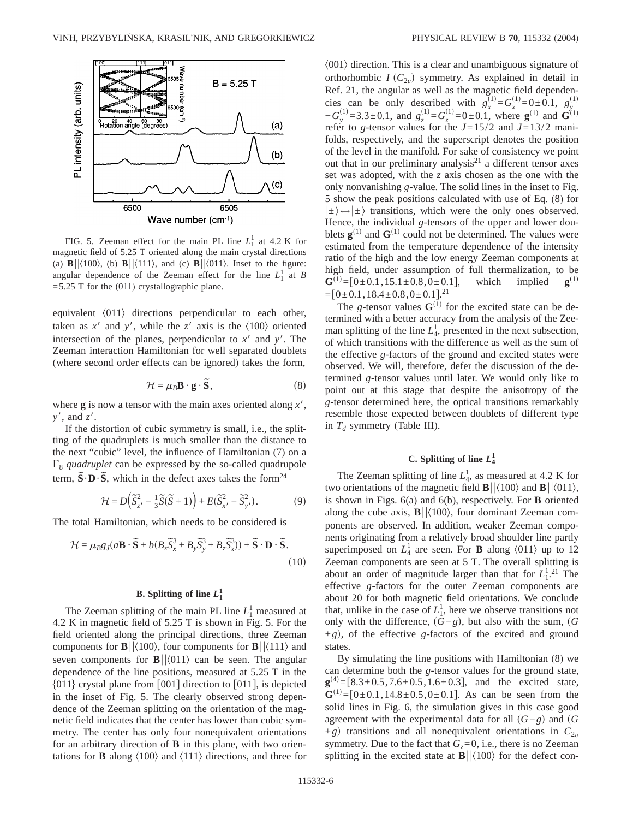

FIG. 5. Zeeman effect for the main PL line  $L_1^1$  at 4.2 K for magnetic field of 5.25 T oriented along the main crystal directions (a)  $\mathbf{B} \vert \vert \langle 100 \rangle$ , (b)  $\mathbf{B} \vert \vert \langle 111 \rangle$ , and (c)  $\mathbf{B} \vert \vert \langle 011 \rangle$ . Inset to the figure: angular dependence of the Zeeman effect for the line  $L_1^1$  at *B*  $=$  5.25 T for the (011) crystallographic plane.

equivalent  $\langle 011 \rangle$  directions perpendicular to each other, taken as  $x<sup>3</sup>$  and  $y<sup>4</sup>$ , while the  $z<sup>6</sup>$  axis is the  $\langle 100 \rangle$  oriented intersection of the planes, perpendicular to  $x<sup>6</sup>$  and  $y<sup>7</sup>$ . The Zeeman interaction Hamiltonian for well separated doublets (where second order effects can be ignored) takes the form,

$$
\mathcal{H} = \mu_B \mathbf{B} \cdot \mathbf{g} \cdot \widetilde{\mathbf{S}},\tag{8}
$$

where  $g$  is now a tensor with the main axes oriented along  $x'$ , *y*', and *z'*.

If the distortion of cubic symmetry is small, i.e., the splitting of the quadruplets is much smaller than the distance to the next "cubic" level, the influence of Hamiltonian (7) on a  $\Gamma_8$  *quadruplet* can be expressed by the so-called quadrupole term,  $\tilde{S} \cdot D \cdot \tilde{S}$ , which in the defect axes takes the form<sup>24</sup>

$$
\mathcal{H} = D\left(\widetilde{S}_{z'}^2 - \frac{1}{3}\widetilde{S}(\widetilde{S} + 1)\right) + E(\widetilde{S}_{x'}^2 - \widetilde{S}_{y'}^2). \tag{9}
$$

The total Hamiltonian, which needs to be considered is

$$
\mathcal{H} = \mu_B g_j (a\mathbf{B} \cdot \widetilde{\mathbf{S}} + b(B_x \widetilde{S}_x^3 + B_y \widetilde{S}_y^3 + B_z \widetilde{S}_x^3)) + \widetilde{\mathbf{S}} \cdot \mathbf{D} \cdot \widetilde{\mathbf{S}}.
$$
\n(10)

# **B.** Splitting of line  $L_1^1$

The Zeeman splitting of the main PL line  $L_1^1$  measured at 4.2 K in magnetic field of 5.25 T is shown in Fig. 5. For the field oriented along the principal directions, three Zeeman components for **B** $\vert \langle 100 \rangle$ , four components for **B** $\vert \langle 111 \rangle$  and seven components for  $\mathbf{B}||\langle 011 \rangle$  can be seen. The angular dependence of the line positions, measured at 5.25 T in the  $\{011\}$  crystal plane from [001] direction to [011], is depicted in the inset of Fig. 5. The clearly observed strong dependence of the Zeeman splitting on the orientation of the magnetic field indicates that the center has lower than cubic symmetry. The center has only four nonequivalent orientations for an arbitrary direction of **B** in this plane, with two orientations for **B** along  $\langle 100 \rangle$  and  $\langle 111 \rangle$  directions, and three for  $\langle 001 \rangle$  direction. This is a clear and unambiguous signature of orthorhombic  $I(C_{2v})$  symmetry. As explained in detail in Ref. 21, the angular as well as the magnetic field dependencies can be only described with  $g_x^{(1)} = G_x^{(1)} = 0 \pm 0.1$ ,  $g_y^{(1)} = 0$ −*G y*  $s_y^{(1)} = 3.3 \pm 0.1$ , and  $g_z^{(1)} = G_z^{(1)} = 0 \pm 0.1$ , where **g**<sup>(1)</sup> and **G**<sup>(1)</sup>) refer to *g*-tensor values for the  $J=15/2$  and  $J=13/2$  manifolds, respectively, and the superscript denotes the position of the level in the manifold. For sake of consistency we point out that in our preliminary analysis<sup>21</sup> a different tensor axes set was adopted, with the *z* axis chosen as the one with the only nonvanishing *g*-value. The solid lines in the inset to Fig. 5 show the peak positions calculated with use of Eq. (8) for  $|\pm\rangle \leftrightarrow |\pm\rangle$  transitions, which were the only ones observed. Hence, the individual *g*-tensors of the upper and lower doublets  $\mathbf{g}^{(1)}$  and  $\mathbf{G}^{(1)}$  could not be determined. The values were estimated from the temperature dependence of the intensity ratio of the high and the low energy Zeeman components at high field, under assumption of full thermalization, to be  $\mathbf{G}^{(1)} = [0 \pm 0.1, 15.1 \pm 0.8, 0 \pm 0.1],$  which implied  $\mathbf{g}^{(1)}$  $=[0\pm 0.1, 18.4\pm 0.8, 0\pm 0.1]$ <sup>21</sup>

The *g*-tensor values  $G^{(1)}$  for the excited state can be determined with a better accuracy from the analysis of the Zeeman splitting of the line  $L_4^1$ , presented in the next subsection, of which transitions with the difference as well as the sum of the effective *g*-factors of the ground and excited states were observed. We will, therefore, defer the discussion of the determined *g*-tensor values until later. We would only like to point out at this stage that despite the anisotropy of the *g*-tensor determined here, the optical transitions remarkably resemble those expected between doublets of different type in  $T_d$  symmetry (Table III).

# C. Splitting of line  $L_4^1$

The Zeeman splitting of line  $L_4^1$ , as measured at 4.2 K for two orientations of the magnetic field  $\mathbf{B} \vert \vert \langle 100 \rangle$  and  $\mathbf{B} \vert \vert \langle 011 \rangle$ , is shown in Figs. 6(a) and 6(b), respectively. For **B** oriented along the cube axis,  $\mathbf{B}||\langle100\rangle$ , four dominant Zeeman components are observed. In addition, weaker Zeeman components originating from a relatively broad shoulder line partly superimposed on  $L_4^1$  are seen. For **B** along  $\langle 011 \rangle$  up to 12 Zeeman components are seen at 5 T. The overall splitting is about an order of magnitude larger than that for  $L_1^{1,21}$  The effective *g*-factors for the outer Zeeman components are about 20 for both magnetic field orientations. We conclude that, unlike in the case of  $L_1^1$ , here we observe transitions not only with the difference,  $(G−g)$ , but also with the sum,  $(G$  $+g$ , of the effective *g*-factors of the excited and ground states.

By simulating the line positions with Hamiltonian (8) we can determine both the *g*-tensor values for the ground state,  $\mathbf{g}^{(4)} = [8.3 \pm 0.5, 7.6 \pm 0.5, 1.6 \pm 0.3]$ , and the excited state,  $\mathbf{G}^{(1)} = [0 \pm 0.1, 14.8 \pm 0.5, 0 \pm 0.1]$ . As can be seen from the solid lines in Fig. 6, the simulation gives in this case good agreement with the experimental data for all  $(G-g)$  and  $(G$  $+g$ ) transitions and all nonequivalent orientations in  $C_{2v}$ symmetry. Due to the fact that  $G_z = 0$ , i.e., there is no Zeeman splitting in the excited state at  $\mathbf{B}||\langle100\rangle$  for the defect con-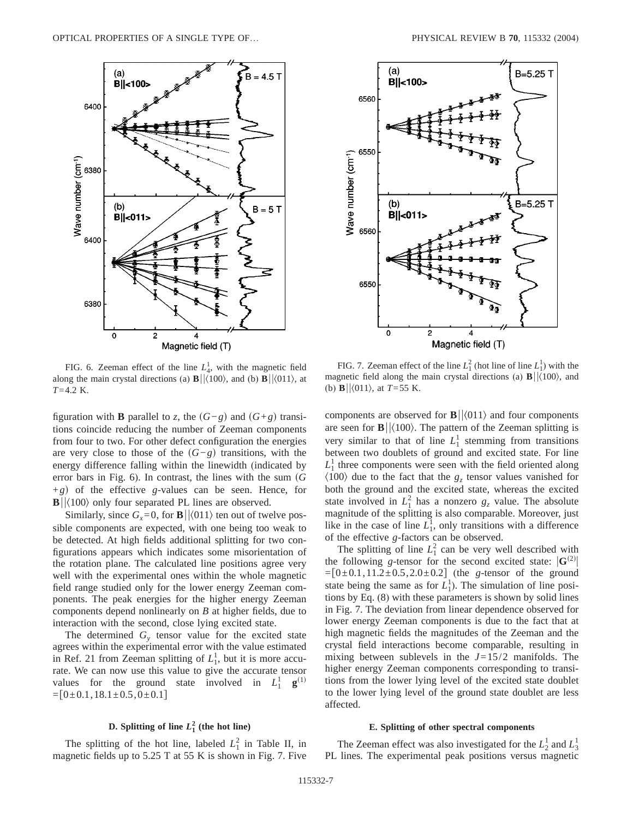

FIG. 6. Zeeman effect of the line  $L_4^1$ , with the magnetic field along the main crystal directions (a)  $\mathbf{B}||\langle100\rangle$ , and (b)  $\mathbf{B}||\langle011\rangle$ , at *T*=4.2 K.

figuration with **B** parallel to *z*, the  $(G-g)$  and  $(G+g)$  transitions coincide reducing the number of Zeeman components from four to two. For other defect configuration the energies are very close to those of the  $(G-g)$  transitions, with the energy difference falling within the linewidth (indicated by error bars in Fig.  $6$ ). In contrast, the lines with the sum  $(G)$  $+g$ ) of the effective *g*-values can be seen. Hence, for  $\mathbf{B} \vert \vert \langle 100 \rangle$  only four separated PL lines are observed.

Similarly, since  $G_r = 0$ , for **B**| $|\langle 011 \rangle$  ten out of twelve possible components are expected, with one being too weak to be detected. At high fields additional splitting for two configurations appears which indicates some misorientation of the rotation plane. The calculated line positions agree very well with the experimental ones within the whole magnetic field range studied only for the lower energy Zeeman components. The peak energies for the higher energy Zeeman components depend nonlinearly on *B* at higher fields, due to interaction with the second, close lying excited state.

The determined  $G<sub>v</sub>$  tensor value for the excited state agrees within the experimental error with the value estimated in Ref. 21 from Zeeman splitting of  $L_1^1$ , but it is more accurate. We can now use this value to give the accurate tensor values for the ground state involved in  $L_1^1$  **g**<sup>(1)</sup>  $=[0\pm0.1,18.1\pm0.5,0\pm0.1]$ 

# **D.** Splitting of line  $L_1^2$  (the hot line)

The splitting of the hot line, labeled  $L_1^2$  in Table II, in magnetic fields up to 5.25 T at 55 K is shown in Fig. 7. Five



FIG. 7. Zeeman effect of the line  $L_1^2$  (hot line of line  $L_1^1$ ) with the magnetic field along the main crystal directions (a)  $\mathbf{B}||\langle100\rangle$ , and (b) **B** $|\langle 011 \rangle$ , at *T*=55 K.

components are observed for  $\mathbf{B} \vert \vert \langle 011 \rangle$  and four components are seen for  $\mathbf{B} \vert \vert \langle 100 \rangle$ . The pattern of the Zeeman splitting is very similar to that of line  $L_1^1$  stemming from transitions between two doublets of ground and excited state. For line  $L_1^1$  three components were seen with the field oriented along  $\langle 100 \rangle$  due to the fact that the  $g_z$  tensor values vanished for both the ground and the excited state, whereas the excited state involved in  $L_1^2$  has a nonzero  $g_z$  value. The absolute magnitude of the splitting is also comparable. Moreover, just like in the case of line  $L_1^1$ , only transitions with a difference of the effective *g*-factors can be observed.

The splitting of line  $L_1^2$  can be very well described with the following *g*-tensor for the second excited state:  $|\mathbf{G}^{(2)}|$  $=[0\pm 0.1, 11.2\pm 0.5, 2.0\pm 0.2]$  (the *g*-tensor of the ground state being the same as for  $L_1^1$ ). The simulation of line positions by Eq. (8) with these parameters is shown by solid lines in Fig. 7. The deviation from linear dependence observed for lower energy Zeeman components is due to the fact that at high magnetic fields the magnitudes of the Zeeman and the crystal field interactions become comparable, resulting in mixing between sublevels in the  $J=15/2$  manifolds. The higher energy Zeeman components corresponding to transitions from the lower lying level of the excited state doublet to the lower lying level of the ground state doublet are less affected.

#### **E. Splitting of other spectral components**

The Zeeman effect was also investigated for the  $L_2^1$  and  $L_3^1$ PL lines. The experimental peak positions versus magnetic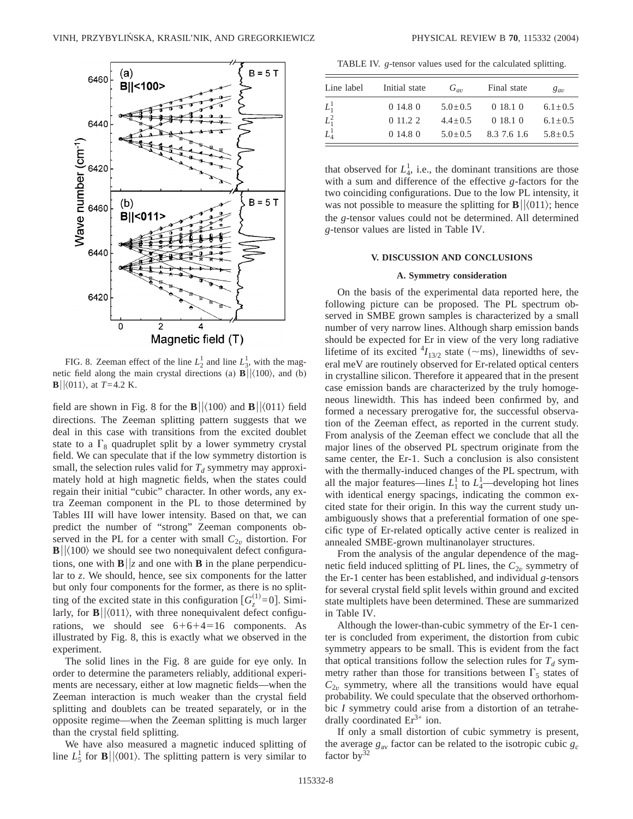

FIG. 8. Zeeman effect of the line  $L_2^1$  and line  $L_3^1$ , with the magnetic field along the main crystal directions (a)  $\mathbf{B} \vert \vert \langle 100 \rangle$ , and (b) **B** $|\langle 011 \rangle$ , at  $T=4.2$  K.

field are shown in Fig. 8 for the  $\mathbf{B}||\langle100\rangle$  and  $\mathbf{B}||\langle011\rangle$  field directions. The Zeeman splitting pattern suggests that we deal in this case with transitions from the excited doublet state to a  $\Gamma_8$  quadruplet split by a lower symmetry crystal field. We can speculate that if the low symmetry distortion is small, the selection rules valid for  $T_d$  symmetry may approximately hold at high magnetic fields, when the states could regain their initial "cubic" character. In other words, any extra Zeeman component in the PL to those determined by Tables III will have lower intensity. Based on that, we can predict the number of "strong" Zeeman components observed in the PL for a center with small  $C_{2v}$  distortion. For  $\mathbf{B}$ | $\langle 100 \rangle$  we should see two nonequivalent defect configurations, one with  $\mathbf{B}||z$  and one with **B** in the plane perpendicular to *z*. We should, hence, see six components for the latter but only four components for the former, as there is no splitting of the excited state in this configuration  $[G_z^{(1)}=0]$ . Similarly, for  $\mathbf{B} \vert \vert \langle 011 \rangle$ , with three nonequivalent defect configurations, we should see  $6+6+4=16$  components. As illustrated by Fig. 8, this is exactly what we observed in the experiment.

The solid lines in the Fig. 8 are guide for eye only. In order to determine the parameters reliably, additional experiments are necessary, either at low magnetic fields—when the Zeeman interaction is much weaker than the crystal field splitting and doublets can be treated separately, or in the opposite regime—when the Zeeman splitting is much larger than the crystal field splitting.

We have also measured a magnetic induced splitting of line  $L_5^1$  for **B**|| $\langle 001 \rangle$ . The splitting pattern is very similar to

TABLE IV. *g*-tensor values used for the calculated splitting.

| Line label | Initial state | $G_{av}$      | Final state | $g_{av}$      |
|------------|---------------|---------------|-------------|---------------|
| $L^1_1$    | 0 14.8 0      | $5.0 \pm 0.5$ | 0 18.1 0    | $6.1 \pm 0.5$ |
| $L_1^2$    | 0.11.22       | $4.4 \pm 0.5$ | 0 18.1 0    | $6.1 \pm 0.5$ |
| $L_4^1$    | 0 14.8 0      | $5.0 \pm 0.5$ | 8.3 7.6 1.6 | $5.8 \pm 0.5$ |

that observed for  $L_4^1$ , i.e., the dominant transitions are those with a sum and difference of the effective *g*-factors for the two coinciding configurations. Due to the low PL intensity, it was not possible to measure the splitting for  $\mathbf{B} \vert \vert \langle 011 \rangle$ ; hence the *g*-tensor values could not be determined. All determined *g*-tensor values are listed in Table IV.

### **V. DISCUSSION AND CONCLUSIONS**

### **A. Symmetry consideration**

On the basis of the experimental data reported here, the following picture can be proposed. The PL spectrum observed in SMBE grown samples is characterized by a small number of very narrow lines. Although sharp emission bands should be expected for Er in view of the very long radiative lifetime of its excited  $^{4}I_{13/2}$  state ( $\sim$ ms), linewidths of several meV are routinely observed for Er-related optical centers in crystalline silicon. Therefore it appeared that in the present case emission bands are characterized by the truly homogeneous linewidth. This has indeed been confirmed by, and formed a necessary prerogative for, the successful observation of the Zeeman effect, as reported in the current study. From analysis of the Zeeman effect we conclude that all the major lines of the observed PL spectrum originate from the same center, the Er-1. Such a conclusion is also consistent with the thermally-induced changes of the PL spectrum, with all the major features—lines  $L_1^1$  to  $L_4^1$ —developing hot lines with identical energy spacings, indicating the common excited state for their origin. In this way the current study unambiguously shows that a preferential formation of one specific type of Er-related optically active center is realized in annealed SMBE-grown multinanolayer structures.

From the analysis of the angular dependence of the magnetic field induced splitting of PL lines, the  $C_{2v}$  symmetry of the Er-1 center has been established, and individual *g*-tensors for several crystal field split levels within ground and excited state multiplets have been determined. These are summarized in Table IV.

Although the lower-than-cubic symmetry of the Er-1 center is concluded from experiment, the distortion from cubic symmetry appears to be small. This is evident from the fact that optical transitions follow the selection rules for  $T_d$  symmetry rather than those for transitions between  $\Gamma_5$  states of  $C_{2v}$  symmetry, where all the transitions would have equal probability. We could speculate that the observed orthorhombic *I* symmetry could arise from a distortion of an tetrahedrally coordinated  $Er<sup>3+</sup>$  ion.

If only a small distortion of cubic symmetry is present, the average  $g_{av}$  factor can be related to the isotropic cubic  $g_c$ factor  $by^{32}$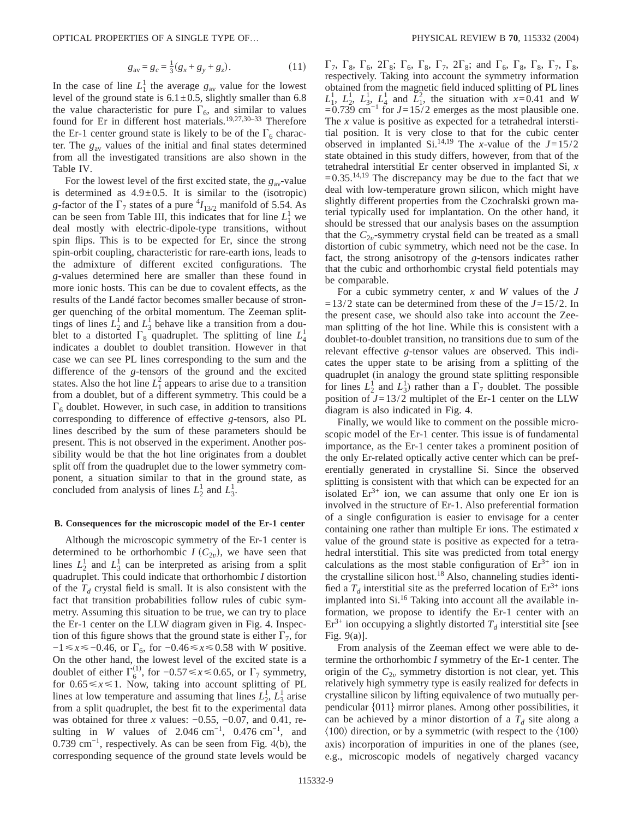$$
g_{\rm av} = g_c = \frac{1}{3}(g_x + g_y + g_z). \tag{11}
$$

In the case of line  $L_1^1$  the average  $g_{av}$  value for the lowest level of the ground state is  $6.1 \pm 0.5$ , slightly smaller than 6.8 the value characteristic for pure  $\Gamma_6$ , and similar to values found for Er in different host materials.19,27,30–33 Therefore the Er-1 center ground state is likely to be of the  $\Gamma_6$  character. The *g*av values of the initial and final states determined from all the investigated transitions are also shown in the Table IV.

For the lowest level of the first excited state, the  $g_{av}$ -value is determined as  $4.9 \pm 0.5$ . It is similar to the (isotropic) *g*-factor of the  $\Gamma_7$  states of a pure  ${}^4I_{13/2}$  manifold of 5.54. As can be seen from Table III, this indicates that for line  $L_1^1$  we deal mostly with electric-dipole-type transitions, without spin flips. This is to be expected for Er, since the strong spin-orbit coupling, characteristic for rare-earth ions, leads to the admixture of different excited configurations. The *g*-values determined here are smaller than these found in more ionic hosts. This can be due to covalent effects, as the results of the Landé factor becomes smaller because of stronger quenching of the orbital momentum. The Zeeman splittings of lines  $L_2^1$  and  $L_3^1$  behave like a transition from a doublet to a distorted  $\Gamma_8$  quadruplet. The splitting of line  $L_4^1$ indicates a doublet to doublet transition. However in that case we can see PL lines corresponding to the sum and the difference of the *g*-tensors of the ground and the excited states. Also the hot line  $L_1^2$  appears to arise due to a transition from a doublet, but of a different symmetry. This could be a  $\Gamma_6$  doublet. However, in such case, in addition to transitions corresponding to difference of effective *g*-tensors, also PL lines described by the sum of these parameters should be present. This is not observed in the experiment. Another possibility would be that the hot line originates from a doublet split off from the quadruplet due to the lower symmetry component, a situation similar to that in the ground state, as concluded from analysis of lines  $L_2^1$  and  $L_3^1$ .

### **B. Consequences for the microscopic model of the Er-1 center**

Although the microscopic symmetry of the Er-1 center is determined to be orthorhombic  $I(C_{2v})$ , we have seen that lines  $L_2^1$  and  $L_3^1$  can be interpreted as arising from a split quadruplet. This could indicate that orthorhombic *I* distortion of the  $T_d$  crystal field is small. It is also consistent with the fact that transition probabilities follow rules of cubic symmetry. Assuming this situation to be true, we can try to place the Er-1 center on the LLW diagram given in Fig. 4. Inspection of this figure shows that the ground state is either  $\Gamma_7$ , for −1 ≤ *x* ≤ −0.46, or  $\Gamma_6$ , for −0.46 ≤ *x* ≤ 0.58 with *W* positive. On the other hand, the lowest level of the excited state is a doublet of either  $\Gamma_6^{(1)}$ , for  $-0.57 \le x \le 0.65$ , or  $\Gamma_7$  symmetry, for  $0.65 \le x \le 1$ . Now, taking into account splitting of PL lines at low temperature and assuming that lines  $L_2^1, L_3^1$  arise from a split quadruplet, the best fit to the experimental data was obtained for three *x* values: −0.55, −0.07, and 0.41, resulting in *W* values of 2.046 cm<sup>-1</sup>, 0.476 cm<sup>-1</sup>, and 0.739 cm−1, respectively. As can be seen from Fig. 4(b), the corresponding sequence of the ground state levels would be

 $\Gamma_7$ ,  $\Gamma_8$ ,  $\Gamma_6$ ,  $2\Gamma_8$ ;  $\Gamma_6$ ,  $\Gamma_8$ ,  $\Gamma_7$ ,  $2\Gamma_8$ ; and  $\Gamma_6$ ,  $\Gamma_8$ ,  $\Gamma_8$ ,  $\Gamma_7$ ,  $\Gamma_8$ , respectively. Taking into account the symmetry information obtained from the magnetic field induced splitting of PL lines  $L_1^1$ ,  $L_2^1$ ,  $L_3^1$ ,  $L_4^1$  and  $L_1^2$ , the situation with *x*=0.41 and *W*  $=0.739$  cm<sup>-1</sup> for  $J=15/2$  emerges as the most plausible one. The *x* value is positive as expected for a tetrahedral interstitial position. It is very close to that for the cubic center observed in implanted Si.<sup>14,19</sup> The *x*-value of the  $J=15/2$ state obtained in this study differs, however, from that of the tetrahedral interstitial Er center observed in implanted Si, *x*  $=0.35$ <sup>14,19</sup> The discrepancy may be due to the fact that we deal with low-temperature grown silicon, which might have slightly different properties from the Czochralski grown material typically used for implantation. On the other hand, it should be stressed that our analysis bases on the assumption that the  $C_{2v}$ -symmetry crystal field can be treated as a small distortion of cubic symmetry, which need not be the case. In fact, the strong anisotropy of the *g*-tensors indicates rather that the cubic and orthorhombic crystal field potentials may be comparable.

For a cubic symmetry center, *x* and *W* values of the *J*  $=13/2$  state can be determined from these of the  $J=15/2$ . In the present case, we should also take into account the Zeeman splitting of the hot line. While this is consistent with a doublet-to-doublet transition, no transitions due to sum of the relevant effective *g*-tensor values are observed. This indicates the upper state to be arising from a splitting of the quadruplet (in analogy the ground state splitting responsible for lines  $L_2^1$  and  $L_3^1$ ) rather than a  $\Gamma_7$  doublet. The possible position of  $J=13/2$  multiplet of the Er-1 center on the LLW diagram is also indicated in Fig. 4.

Finally, we would like to comment on the possible microscopic model of the Er-1 center. This issue is of fundamental importance, as the Er-1 center takes a prominent position of the only Er-related optically active center which can be preferentially generated in crystalline Si. Since the observed splitting is consistent with that which can be expected for an isolated  $Er^{3+}$  ion, we can assume that only one Er ion is involved in the structure of Er-1. Also preferential formation of a single configuration is easier to envisage for a center containing one rather than multiple Er ions. The estimated *x* value of the ground state is positive as expected for a tetrahedral interstitial. This site was predicted from total energy calculations as the most stable configuration of  $Er<sup>3+</sup>$  ion in the crystalline silicon host.<sup>18</sup> Also, channeling studies identified a  $T<sub>d</sub>$  interstitial site as the preferred location of  $Er<sup>3+</sup>$  ions implanted into  $Si^{16}$  Taking into account all the available information, we propose to identify the Er-1 center with an  $Er<sup>3+</sup>$  ion occupying a slightly distorted  $T<sub>d</sub>$  interstitial site [see Fig. 9(a)].

From analysis of the Zeeman effect we were able to determine the orthorhombic *I* symmetry of the Er-1 center. The origin of the  $C_{2v}$  symmetry distortion is not clear, yet. This relatively high symmetry type is easily realized for defects in crystalline silicon by lifting equivalence of two mutually perpendicular  $\{011\}$  mirror planes. Among other possibilities, it can be achieved by a minor distortion of a  $T<sub>d</sub>$  site along a  $\langle 100 \rangle$  direction, or by a symmetric (with respect to the  $\langle 100 \rangle$ axis) incorporation of impurities in one of the planes (see, e.g., microscopic models of negatively charged vacancy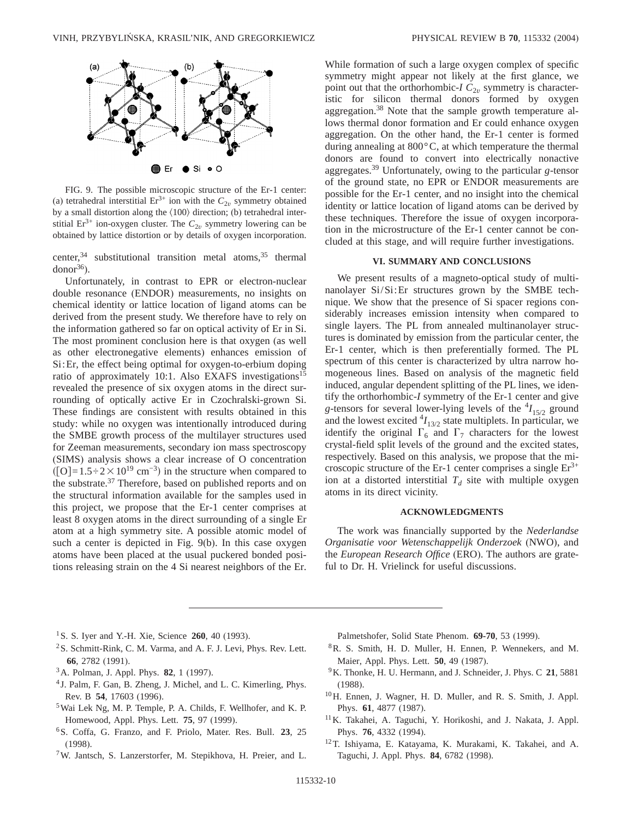

FIG. 9. The possible microscopic structure of the Er-1 center: (a) tetrahedral interstitial  $Er^{3+}$  ion with the  $C_{2v}$  symmetry obtained by a small distortion along the  $\langle 100 \rangle$  direction; (b) tetrahedral interstitial Er<sup>3+</sup> ion-oxygen cluster. The  $C_{2v}$  symmetry lowering can be obtained by lattice distortion or by details of oxygen incorporation.

center,  $34$  substitutional transition metal atoms,  $35$  thermal  $donor<sup>36</sup>$ ).

Unfortunately, in contrast to EPR or electron-nuclear double resonance (ENDOR) measurements, no insights on chemical identity or lattice location of ligand atoms can be derived from the present study. We therefore have to rely on the information gathered so far on optical activity of Er in Si. The most prominent conclusion here is that oxygen (as well as other electronegative elements) enhances emission of Si:Er, the effect being optimal for oxygen-to-erbium doping ratio of approximately 10:1. Also EXAFS investigations<sup>15</sup> revealed the presence of six oxygen atoms in the direct surrounding of optically active Er in Czochralski-grown Si. These findings are consistent with results obtained in this study: while no oxygen was intentionally introduced during the SMBE growth process of the multilayer structures used for Zeeman measurements, secondary ion mass spectroscopy (SIMS) analysis shows a clear increase of O concentration  $\text{(} [O] = 1.5 \div 2 \times 10^{19} \text{ cm}^{-3}\text{)}$  in the structure when compared to the substrate.<sup>37</sup> Therefore, based on published reports and on the structural information available for the samples used in this project, we propose that the Er-1 center comprises at least 8 oxygen atoms in the direct surrounding of a single Er atom at a high symmetry site. A possible atomic model of such a center is depicted in Fig. 9(b). In this case oxygen atoms have been placed at the usual puckered bonded positions releasing strain on the 4 Si nearest neighbors of the Er. While formation of such a large oxygen complex of specific symmetry might appear not likely at the first glance, we point out that the orthorhombic- $IC_{2v}$  symmetry is characteristic for silicon thermal donors formed by oxygen aggregation.38 Note that the sample growth temperature allows thermal donor formation and Er could enhance oxygen aggregation. On the other hand, the Er-1 center is formed during annealing at 800°C, at which temperature the thermal donors are found to convert into electrically nonactive aggregates.39 Unfortunately, owing to the particular *g*-tensor of the ground state, no EPR or ENDOR measurements are possible for the Er-1 center, and no insight into the chemical identity or lattice location of ligand atoms can be derived by these techniques. Therefore the issue of oxygen incorporation in the microstructure of the Er-1 center cannot be concluded at this stage, and will require further investigations.

### **VI. SUMMARY AND CONCLUSIONS**

We present results of a magneto-optical study of multinanolayer Si/Si:Er structures grown by the SMBE technique. We show that the presence of Si spacer regions considerably increases emission intensity when compared to single layers. The PL from annealed multinanolayer structures is dominated by emission from the particular center, the Er-1 center, which is then preferentially formed. The PL spectrum of this center is characterized by ultra narrow homogeneous lines. Based on analysis of the magnetic field induced, angular dependent splitting of the PL lines, we identify the orthorhombic-*I* symmetry of the Er-1 center and give g-tensors for several lower-lying levels of the  $^{4}I_{15/2}$  ground and the lowest excited  $^{4}I_{13/2}$  state multiplets. In particular, we identify the original  $\Gamma_6$  and  $\Gamma_7$  characters for the lowest crystal-field split levels of the ground and the excited states, respectively. Based on this analysis, we propose that the microscopic structure of the Er-1 center comprises a single  $Er^{3+}$ ion at a distorted interstitial  $T_d$  site with multiple oxygen atoms in its direct vicinity.

## **ACKNOWLEDGMENTS**

The work was financially supported by the *Nederlandse Organisatie voor Wetenschappelijk Onderzoek* (NWO), and the *European Research Office* (ERO). The authors are grateful to Dr. H. Vrielinck for useful discussions.

- 1S. S. Iyer and Y.-H. Xie, Science **260**, 40 (1993).
- 2S. Schmitt-Rink, C. M. Varma, and A. F. J. Levi, Phys. Rev. Lett. **66**, 2782 (1991).
- 3A. Polman, J. Appl. Phys. **82**, 1 (1997).
- <sup>4</sup> J. Palm, F. Gan, B. Zheng, J. Michel, and L. C. Kimerling, Phys. Rev. B **54**, 17603 (1996).
- 5Wai Lek Ng, M. P. Temple, P. A. Childs, F. Wellhofer, and K. P. Homewood, Appl. Phys. Lett. **75**, 97 (1999).
- 6S. Coffa, G. Franzo, and F. Priolo, Mater. Res. Bull. **23**, 25 (1998).
- 7W. Jantsch, S. Lanzerstorfer, M. Stepikhova, H. Preier, and L.

Palmetshofer, Solid State Phenom. **69-70**, 53 (1999).

- 8R. S. Smith, H. D. Muller, H. Ennen, P. Wennekers, and M. Maier, Appl. Phys. Lett. **50**, 49 (1987).
- 9K. Thonke, H. U. Hermann, and J. Schneider, J. Phys. C **21**, 5881 (1988).
- 10H. Ennen, J. Wagner, H. D. Muller, and R. S. Smith, J. Appl. Phys. **61**, 4877 (1987).
- 11K. Takahei, A. Taguchi, Y. Horikoshi, and J. Nakata, J. Appl. Phys. **76**, 4332 (1994).
- 12T. Ishiyama, E. Katayama, K. Murakami, K. Takahei, and A. Taguchi, J. Appl. Phys. **84**, 6782 (1998).